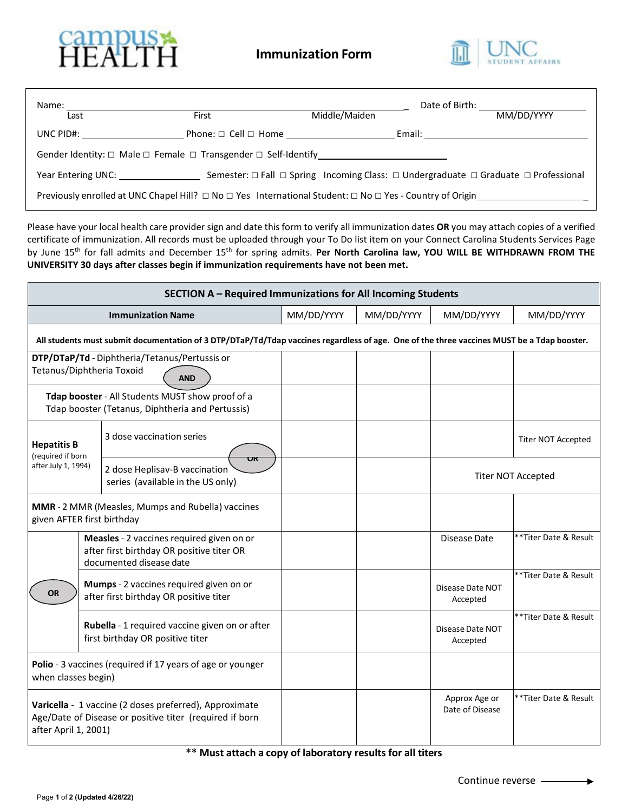



| Name:<br>Last                                                                                                       | First                                                                              | Middle/Maiden | Date of Birth: The Contract of Birth:<br>MM/DD/YYYY                                                          |
|---------------------------------------------------------------------------------------------------------------------|------------------------------------------------------------------------------------|---------------|--------------------------------------------------------------------------------------------------------------|
| UNC $PID#$ :                                                                                                        | Phone: $\Box$ Cell $\Box$ Home                                                     |               | Email: __________________________                                                                            |
|                                                                                                                     | Gender Identity: $\Box$ Male $\Box$ Female $\Box$ Transgender $\Box$ Self-Identify |               |                                                                                                              |
| Year Entering UNC: The Management of the Management of the Management of the Management of the Management of the Ma |                                                                                    |               | Semester: $\Box$ Fall $\Box$ Spring Incoming Class: $\Box$ Undergraduate $\Box$ Graduate $\Box$ Professional |
|                                                                                                                     |                                                                                    |               |                                                                                                              |

Please have your local health care provider sign and date this form to verify all immunization dates **OR** you may attach copies of a verified certificate of immunization. All records must be uploaded through your To Do list item on your Connect Carolina Students Services Page by June 15<sup>th</sup> for fall admits and December 15<sup>th</sup> for spring admits. Per North Carolina law, YOU WILL BE WITHDRAWN FROM THE **UNIVERSITY 30 days after classes begin if immunization requirements have not been met.**

| SECTION A - Required Immunizations for All Incoming Students                                                                               |  |                                                                          |            |                                  |                           |                           |  |
|--------------------------------------------------------------------------------------------------------------------------------------------|--|--------------------------------------------------------------------------|------------|----------------------------------|---------------------------|---------------------------|--|
| <b>Immunization Name</b>                                                                                                                   |  | MM/DD/YYYY                                                               | MM/DD/YYYY | MM/DD/YYYY                       | MM/DD/YYYY                |                           |  |
| All students must submit documentation of 3 DTP/DTaP/Td/Tdap vaccines regardless of age. One of the three vaccines MUST be a Tdap booster. |  |                                                                          |            |                                  |                           |                           |  |
| DTP/DTaP/Td - Diphtheria/Tetanus/Pertussis or<br>Tetanus/Diphtheria Toxoid<br><b>AND</b>                                                   |  |                                                                          |            |                                  |                           |                           |  |
| Tdap booster - All Students MUST show proof of a<br>Tdap booster (Tetanus, Diphtheria and Pertussis)                                       |  |                                                                          |            |                                  |                           |                           |  |
| <b>Hepatitis B</b><br>(required if born                                                                                                    |  | 3 dose vaccination series                                                |            |                                  |                           | <b>Titer NOT Accepted</b> |  |
| after July 1, 1994)                                                                                                                        |  | UΚ<br>2 dose Heplisav-B vaccination<br>series (available in the US only) |            |                                  | <b>Titer NOT Accepted</b> |                           |  |
| MMR - 2 MMR (Measles, Mumps and Rubella) vaccines<br>given AFTER first birthday                                                            |  |                                                                          |            |                                  |                           |                           |  |
| Measles - 2 vaccines required given on or<br>after first birthday OR positive titer OR<br>documented disease date                          |  |                                                                          |            | Disease Date                     | **Titer Date & Result     |                           |  |
| Mumps - 2 vaccines required given on or<br><b>OR</b><br>after first birthday OR positive titer                                             |  |                                                                          |            | Disease Date NOT<br>Accepted     | **Titer Date & Result     |                           |  |
| Rubella - 1 required vaccine given on or after<br>first birthday OR positive titer                                                         |  |                                                                          |            | Disease Date NOT<br>Accepted     | **Titer Date & Result     |                           |  |
| Polio - 3 vaccines (required if 17 years of age or younger<br>when classes begin)                                                          |  |                                                                          |            |                                  |                           |                           |  |
| Varicella - 1 vaccine (2 doses preferred), Approximate<br>Age/Date of Disease or positive titer (required if born<br>after April 1, 2001)  |  |                                                                          |            | Approx Age or<br>Date of Disease | **Titer Date & Result     |                           |  |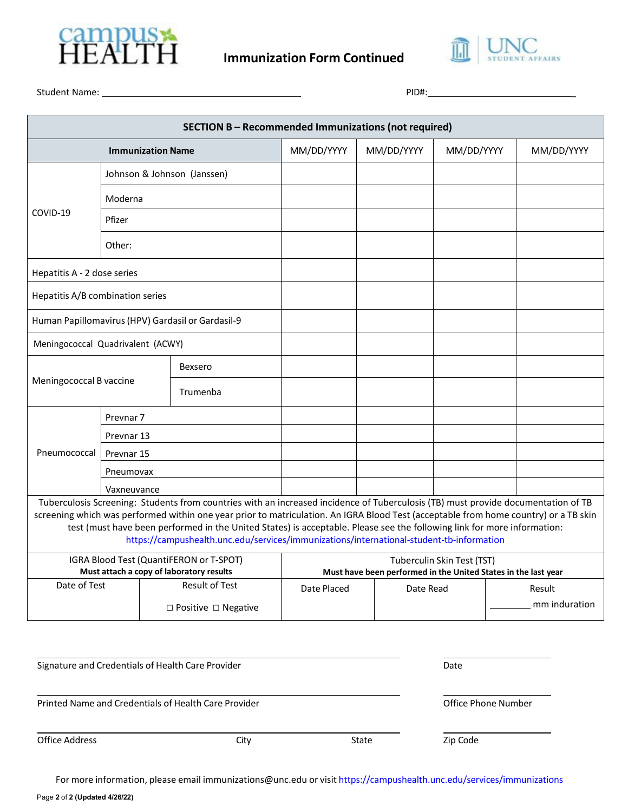



Student Name: PID#: \_

| <b>SECTION B - Recommended Immunizations (not required)</b> |                          |                                                                                                                                                                                                                                                                                                                                                                                                                                                                                                                                             |                                                                                            |                     |                            |               |
|-------------------------------------------------------------|--------------------------|---------------------------------------------------------------------------------------------------------------------------------------------------------------------------------------------------------------------------------------------------------------------------------------------------------------------------------------------------------------------------------------------------------------------------------------------------------------------------------------------------------------------------------------------|--------------------------------------------------------------------------------------------|---------------------|----------------------------|---------------|
|                                                             | <b>Immunization Name</b> |                                                                                                                                                                                                                                                                                                                                                                                                                                                                                                                                             | MM/DD/YYYY                                                                                 | MM/DD/YYYY          | MM/DD/YYYY                 | MM/DD/YYYY    |
|                                                             |                          | Johnson & Johnson (Janssen)                                                                                                                                                                                                                                                                                                                                                                                                                                                                                                                 |                                                                                            |                     |                            |               |
|                                                             | Moderna                  |                                                                                                                                                                                                                                                                                                                                                                                                                                                                                                                                             |                                                                                            |                     |                            |               |
| COVID-19                                                    | Pfizer                   |                                                                                                                                                                                                                                                                                                                                                                                                                                                                                                                                             |                                                                                            |                     |                            |               |
| Other:                                                      |                          |                                                                                                                                                                                                                                                                                                                                                                                                                                                                                                                                             |                                                                                            |                     |                            |               |
| Hepatitis A - 2 dose series                                 |                          |                                                                                                                                                                                                                                                                                                                                                                                                                                                                                                                                             |                                                                                            |                     |                            |               |
| Hepatitis A/B combination series                            |                          |                                                                                                                                                                                                                                                                                                                                                                                                                                                                                                                                             |                                                                                            |                     |                            |               |
| Human Papillomavirus (HPV) Gardasil or Gardasil-9           |                          |                                                                                                                                                                                                                                                                                                                                                                                                                                                                                                                                             |                                                                                            |                     |                            |               |
| Meningococcal Quadrivalent (ACWY)                           |                          |                                                                                                                                                                                                                                                                                                                                                                                                                                                                                                                                             |                                                                                            |                     |                            |               |
|                                                             |                          | <b>Bexsero</b>                                                                                                                                                                                                                                                                                                                                                                                                                                                                                                                              |                                                                                            |                     |                            |               |
| Meningococcal B vaccine                                     |                          | Trumenba                                                                                                                                                                                                                                                                                                                                                                                                                                                                                                                                    |                                                                                            |                     |                            |               |
|                                                             | Prevnar <sub>7</sub>     |                                                                                                                                                                                                                                                                                                                                                                                                                                                                                                                                             |                                                                                            |                     |                            |               |
|                                                             | Prevnar 13               |                                                                                                                                                                                                                                                                                                                                                                                                                                                                                                                                             |                                                                                            |                     |                            |               |
| Pneumococcal                                                | Prevnar 15               |                                                                                                                                                                                                                                                                                                                                                                                                                                                                                                                                             |                                                                                            |                     |                            |               |
|                                                             | Pneumovax                |                                                                                                                                                                                                                                                                                                                                                                                                                                                                                                                                             |                                                                                            |                     |                            |               |
|                                                             | Vaxneuvance              |                                                                                                                                                                                                                                                                                                                                                                                                                                                                                                                                             |                                                                                            |                     |                            |               |
|                                                             |                          | Tuberculosis Screening: Students from countries with an increased incidence of Tuberculosis (TB) must provide documentation of TB<br>screening which was performed within one year prior to matriculation. An IGRA Blood Test (acceptable from home country) or a TB skin<br>test (must have been performed in the United States) is acceptable. Please see the following link for more information:<br>https://campushealth.unc.edu/services/immunizations/international-student-tb-information<br>IGRA Blood Test (QuantiFERON or T-SPOT) |                                                                                            |                     | Tuberculin Skin Test (TST) |               |
| Must attach a copy of laboratory results<br>Date of Test    |                          | <b>Result of Test</b>                                                                                                                                                                                                                                                                                                                                                                                                                                                                                                                       | Must have been performed in the United States in the last year<br>Date Placed<br>Date Read |                     | Result                     |               |
|                                                             |                          | □ Positive □ Negative                                                                                                                                                                                                                                                                                                                                                                                                                                                                                                                       |                                                                                            |                     |                            | mm induration |
|                                                             |                          | Signature and Credentials of Health Care Provider                                                                                                                                                                                                                                                                                                                                                                                                                                                                                           |                                                                                            |                     | Date                       |               |
| Printed Name and Credentials of Health Care Provider        |                          |                                                                                                                                                                                                                                                                                                                                                                                                                                                                                                                                             |                                                                                            | Office Phone Number |                            |               |
| <b>Office Address</b>                                       |                          | City                                                                                                                                                                                                                                                                                                                                                                                                                                                                                                                                        |                                                                                            | State               | Zip Code                   |               |

For more information, please email [immunizations@unc.edu](mailto:immunizations@unc.edu) or visit <https://campushealth.unc.edu/services/immunizations>